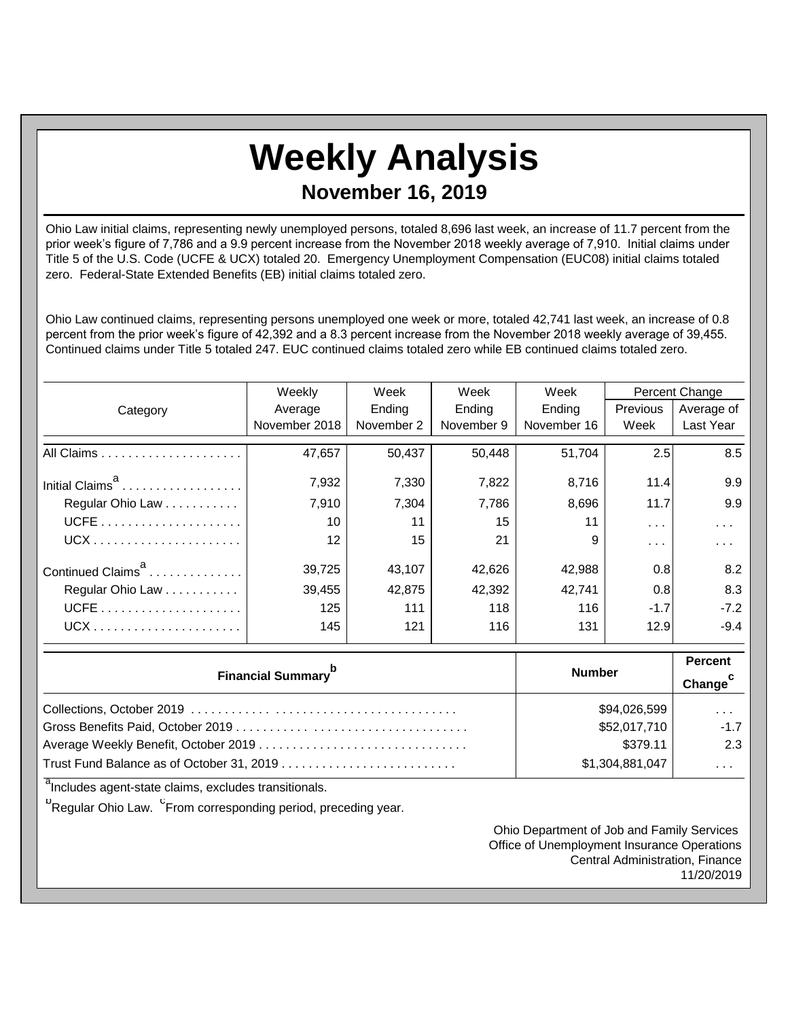## **Weekly Analysis November 16, 2019**

Ohio Law initial claims, representing newly unemployed persons, totaled 8,696 last week, an increase of 11.7 percent from the prior week's figure of 7,786 and a 9.9 percent increase from the November 2018 weekly average of 7,910. Initial claims under Title 5 of the U.S. Code (UCFE & UCX) totaled 20. Emergency Unemployment Compensation (EUC08) initial claims totaled zero. Federal-State Extended Benefits (EB) initial claims totaled zero.

Ohio Law continued claims, representing persons unemployed one week or more, totaled 42,741 last week, an increase of 0.8 percent from the prior week's figure of 42,392 and a 8.3 percent increase from the November 2018 weekly average of 39,455. Continued claims under Title 5 totaled 247. EUC continued claims totaled zero while EB continued claims totaled zero.

|                               | Weekly            | Week       | Week       |             |               | Percent Change |  |
|-------------------------------|-------------------|------------|------------|-------------|---------------|----------------|--|
| Category                      | Average           | Ending     | Ending     | Ending      | Previous      | Average of     |  |
|                               | November 2018     | November 2 | November 9 | November 16 | Week          | Last Year      |  |
|                               | 47,657            | 50,437     | 50,448     | 51,704      | 2.5           | 8.5            |  |
| Initial Claims <sup>a</sup>   | 7,932             | 7,330      | 7,822      | 8,716       | 11.4          | 9.9            |  |
| Regular Ohio Law              | 7,910             | 7.304      | 7,786      | 8,696       | 11.7          | 9.9            |  |
|                               | 10                | 11         | 15         | 11          | $\sim$ $\sim$ | .              |  |
|                               | $12 \overline{ }$ | 15         | 21         | 9           | $\cdots$      | .              |  |
| Continued Claims <sup>a</sup> | 39,725            | 43,107     | 42,626     | 42,988      | 0.8           | 8.2            |  |
| Regular Ohio Law              | 39,455            | 42,875     | 42,392     | 42.741      | 0.8           | 8.3            |  |
|                               | 125               | 111        | 118        | 116         | $-1.7$        | $-7.2$         |  |
| $UCX$                         | 145               | 121        | 116        | 131         | 12.9          | $-9.4$         |  |

| <b>Financial Summary</b> <sup>p</sup> | <b>Number</b>   | <b>Percent</b><br>Change <sup>c</sup> |
|---------------------------------------|-----------------|---------------------------------------|
|                                       | \$94,026,599    | $\cdots$                              |
|                                       | \$52,017,710    | $-1.7$                                |
|                                       | \$379.11        | 2.3                                   |
|                                       | \$1,304,881,047 | $\cdots$                              |

<sup>a</sup>Includes agent-state claims, excludes transitionals.

<sup>b</sup>Regular Ohio Law. <sup>C</sup>From corresponding period, preceding year.

Ohio Department of Job and Family Services Office of Unemployment Insurance Operations Central Administration, Finance 11/20/2019